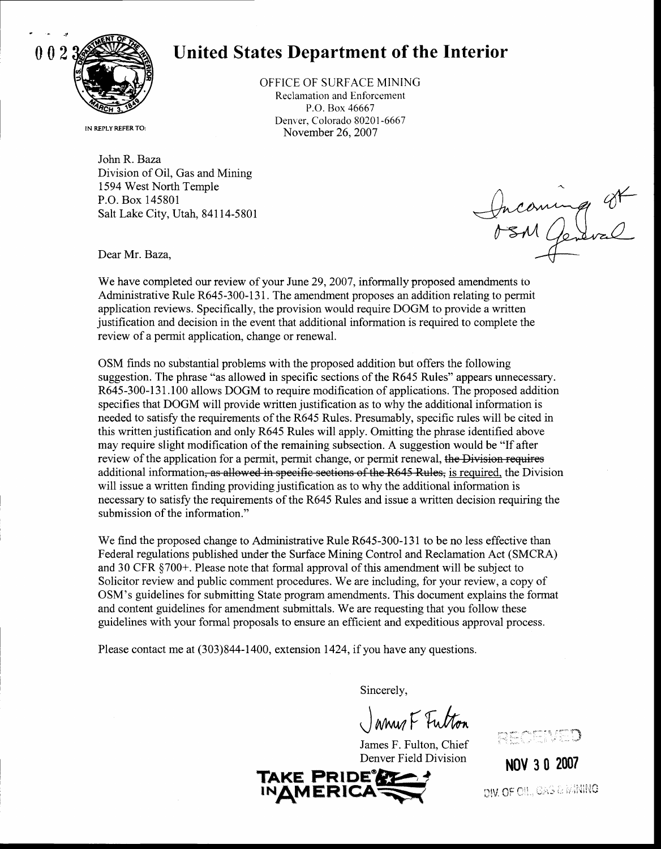

## 0023 Western United States Department of the Interior

OFFICE OF SURFACE MINING Reclamation and Enforcement P.O. Box 46667 Denver, Colorado 80201-6667 November 26, 2007

IN REPLY REFER TO:

John R. Baza Division of Oil, Gas and Mining 1594 West North Temple P.O. Box 145801 Salt Lake City, Utah, 84114-5801

Incoming St

Dear Mr. Baza,

We have completed our review of your June 29, 2007, informally proposed amendments to Administrative Rule R645-300-131. The amendment proposes an addition relating to permit application reviews. Specifically, the provision would require DOGM to provide a written justification and decision in the event that additional information is required to complete the review of a permit application, change or renewal.

OSM finds no substantial problems with the proposed addition but offers the following suggestion. The phrase "as allowed in specific sections of the R645 Rules" appears unnecessary. R645-300-131.100 allows DOGM to require modification of applications. The proposed addition specifies that DOGM will provide written justification as to why the additional information is needed to satisfy the requirements of the R645 Rules. Presumably, specific rules will be cited in this written justification and only R645 Rules will apply. Omitting the phrase identified above may require slight modification of the remaining subsection. A suggestion would be "If after review of the application for a permit, permit change, or permit renewal, the Division requires additional information, as allowed in specific sections of the R645 Rules, is required, the Division will issue a written finding providing justification as to why the additional information is necessary to satisfy the requirements of the  $R645$  Rules and issue a written decision requiring the submission of the information."

We find the proposed change to Administrative Rule R645-300-131 to be no less effective than Federal regulations published under the Surface Mining Control and Reclamation Act (SMCRA) and 30 CFR \$700+. Please note that formal approval of this amendment will be subject to Solicitor review and public comment procedures. We are including, for your review, a copy of OSM's guidelines for submitting State program amendments. This document explains the format and content guidelines for amendment submittals. We are requesting that you follow these guidelines with your formal proposals to ensure an efficient and expeditious approval process.

Please contact me at (303)844-1400, extension 1424, if you have any questions.

Sincerely,

Janus F. Futton



Nov 3 0 2007 DIV, OF OIL, GAS & MAING